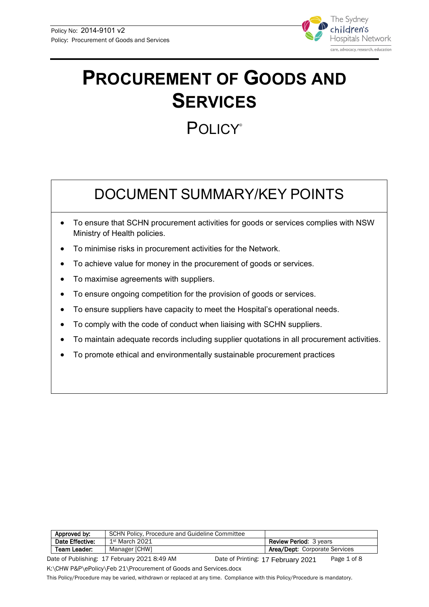

# **PROCUREMENT OF GOODS AND SERVICES**

## **POLICY®**

## DOCUMENT SUMMARY/KEY POINTS

- To ensure that SCHN procurement activities for goods or services complies with NSW Ministry of Health policies.
- To minimise risks in procurement activities for the Network.
- To achieve value for money in the procurement of goods or services.
- To maximise agreements with suppliers.
- To ensure ongoing competition for the provision of goods or services.
- To ensure suppliers have capacity to meet the Hospital's operational needs.
- To comply with the code of conduct when liaising with SCHN suppliers.
- To maintain adequate records including supplier quotations in all procurement activities.
- To promote ethical and environmentally sustainable procurement practices

| Approved by:                           | SCHN Policy, Procedure and Guideline Committee |                                      |  |  |
|----------------------------------------|------------------------------------------------|--------------------------------------|--|--|
| Date Effective:                        | $1st$ March 2021                               | <b>Review Period: 3 years</b>        |  |  |
| <b>Team Leader:</b>                    | Manager [CHW]                                  | <b>Area/Dept: Corporate Services</b> |  |  |
| $-0.001$ $-0.001$<br>- - - - - - - - - |                                                |                                      |  |  |

Date of Publishing: 17 February 2021 8:49 AM Date of Printing: 17 February 2021 Page 1 of 8 K:\CHW P&P\ePolicy\Feb 21\Procurement of Goods and Services.docx Date of Printing: 17 February 2021

This Policy/Procedure may be varied, withdrawn or replaced at any time. Compliance with this Policy/Procedure is mandatory.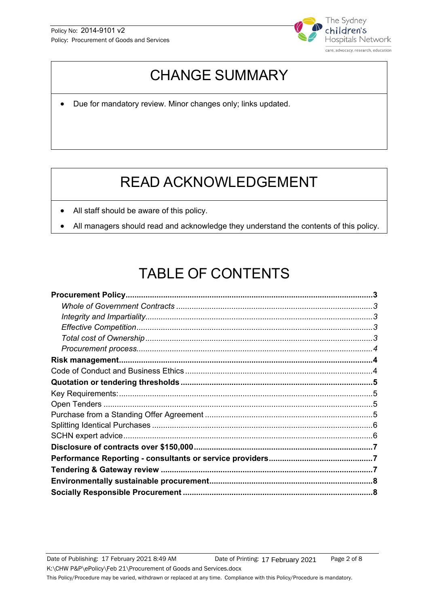

## CHANGE SUMMARY

• Due for mandatory review. Minor changes only; links updated.

## READ ACKNOWLEDGEMENT

- All staff should be aware of this policy.
- All managers should read and acknowledge they understand the contents of this policy.

## TABLE OF CONTENTS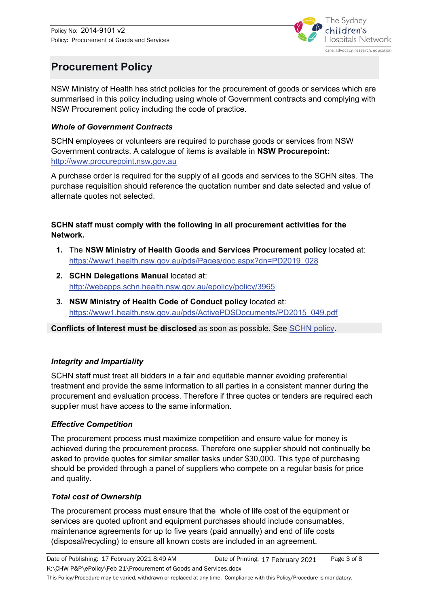

## <span id="page-2-0"></span>**Procurement Policy**

NSW Ministry of Health has strict policies for the procurement of goods or services which are summarised in this policy including using whole of Government contracts and complying with NSW Procurement policy including the code of practice.

#### <span id="page-2-1"></span>*Whole of Government Contracts*

SCHN employees or volunteers are required to purchase goods or services from NSW Government contracts. A catalogue of items is available in **NSW Procurepoint:** [http://www.procurepoint.nsw.gov.au](http://www.procurepoint.nsw.gov.au/) 

A purchase order is required for the supply of all goods and services to the SCHN sites. The purchase requisition should reference the quotation number and date selected and value of alternate quotes not selected.

#### **SCHN staff must comply with the following in all procurement activities for the Network.**

- **1.** The **NSW Ministry of Health Goods and Services Procurement policy** located at: [https://www1.health.nsw.gov.au/pds/Pages/doc.aspx?dn=PD2019\\_028](https://www1.health.nsw.gov.au/pds/Pages/doc.aspx?dn=PD2019_028)
- **2. SCHN Delegations Manual** located at: <http://webapps.schn.health.nsw.gov.au/epolicy/policy/3965>
- **3. NSW Ministry of Health Code of Conduct policy** located at: [https://www1.health.nsw.gov.au/pds/ActivePDSDocuments/PD2015\\_049.pdf](https://www1.health.nsw.gov.au/pds/ActivePDSDocuments/PD2015_049.pdf)

**Conflicts of Interest must be disclosed** as soon as possible. See [SCHN policy.](http://webapps.schn.health.nsw.gov.au/epolicy/policy/5521)

#### <span id="page-2-2"></span>*Integrity and Impartiality*

SCHN staff must treat all bidders in a fair and equitable manner avoiding preferential treatment and provide the same information to all parties in a consistent manner during the procurement and evaluation process. Therefore if three quotes or tenders are required each supplier must have access to the same information.

#### <span id="page-2-3"></span>*Effective Competition*

The procurement process must maximize competition and ensure value for money is achieved during the procurement process. Therefore one supplier should not continually be asked to provide quotes for similar smaller tasks under \$30,000. This type of purchasing should be provided through a panel of suppliers who compete on a regular basis for price and quality.

#### <span id="page-2-4"></span>*Total cost of Ownership*

The procurement process must ensure that the whole of life cost of the equipment or services are quoted upfront and equipment purchases should include consumables, maintenance agreements for up to five years (paid annually) and end of life costs (disposal/recycling) to ensure all known costs are included in an agreement.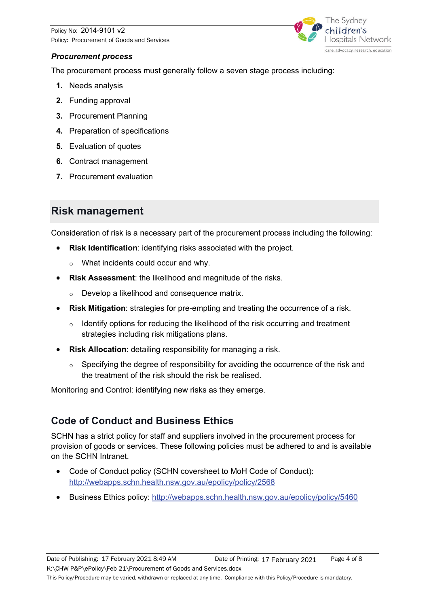Policy No: 2014-9101 v2 Policy: Procurement of Goods and Services



#### <span id="page-3-0"></span>*Procurement process*

The procurement process must generally follow a seven stage process including:

- **1.** Needs analysis
- **2.** Funding approval
- **3.** Procurement Planning
- **4.** Preparation of specifications
- **5.** Evaluation of quotes
- **6.** Contract management
- **7.** Procurement evaluation

#### <span id="page-3-1"></span>**Risk management**

Consideration of risk is a necessary part of the procurement process including the following:

- **Risk Identification**: identifying risks associated with the project.
	- o What incidents could occur and why.
- **Risk Assessment:** the likelihood and magnitude of the risks.
	- o Develop a likelihood and consequence matrix.
- **Risk Mitigation**: strategies for pre-empting and treating the occurrence of a risk.
	- $\circ$  Identify options for reducing the likelihood of the risk occurring and treatment strategies including risk mitigations plans.
- **Risk Allocation:** detailing responsibility for managing a risk.
	- $\circ$  Specifying the degree of responsibility for avoiding the occurrence of the risk and the treatment of the risk should the risk be realised.

Monitoring and Control: identifying new risks as they emerge.

#### <span id="page-3-2"></span>**Code of Conduct and Business Ethics**

SCHN has a strict policy for staff and suppliers involved in the procurement process for provision of goods or services. These following policies must be adhered to and is available on the SCHN Intranet.

- Code of Conduct policy (SCHN coversheet to MoH Code of Conduct): <http://webapps.schn.health.nsw.gov.au/epolicy/policy/2568>
- Business Ethics policy:<http://webapps.schn.health.nsw.gov.au/epolicy/policy/5460>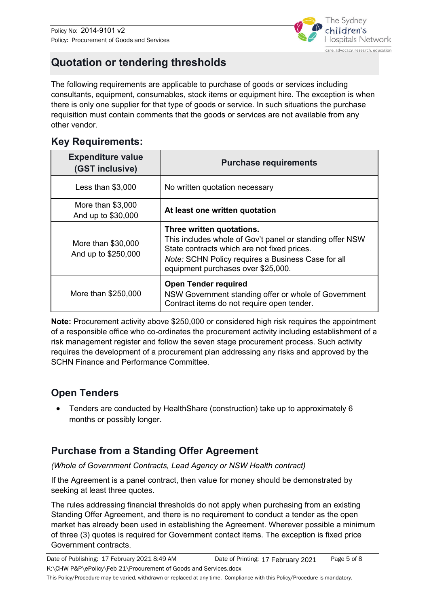

## <span id="page-4-0"></span>**Quotation or tendering thresholds**

The following requirements are applicable to purchase of goods or services including consultants, equipment, consumables, stock items or equipment hire. The exception is when there is only one supplier for that type of goods or service. In such situations the purchase requisition must contain comments that the goods or services are not available from any other vendor.

#### <span id="page-4-1"></span>**Key Requirements:**

| <b>Expenditure value</b><br>(GST inclusive) | <b>Purchase requirements</b>                                                                                                                                                                                                     |  |
|---------------------------------------------|----------------------------------------------------------------------------------------------------------------------------------------------------------------------------------------------------------------------------------|--|
| Less than $$3,000$                          | No written quotation necessary                                                                                                                                                                                                   |  |
| More than \$3,000<br>And up to \$30,000     | At least one written quotation                                                                                                                                                                                                   |  |
| More than \$30,000<br>And up to \$250,000   | Three written quotations.<br>This includes whole of Gov't panel or standing offer NSW<br>State contracts which are not fixed prices.<br>Note: SCHN Policy requires a Business Case for all<br>equipment purchases over \$25,000. |  |
| More than \$250,000                         | <b>Open Tender required</b><br>NSW Government standing offer or whole of Government<br>Contract items do not require open tender.                                                                                                |  |

**Note:** Procurement activity above \$250,000 or considered high risk requires the appointment of a responsible office who co-ordinates the procurement activity including establishment of a risk management register and follow the seven stage procurement process. Such activity requires the development of a procurement plan addressing any risks and approved by the SCHN Finance and Performance Committee.

#### <span id="page-4-2"></span>**Open Tenders**

• Tenders are conducted by HealthShare (construction) take up to approximately 6 months or possibly longer.

#### <span id="page-4-3"></span>**Purchase from a Standing Offer Agreement**

*(Whole of Government Contracts, Lead Agency or NSW Health contract)* 

If the Agreement is a panel contract, then value for money should be demonstrated by seeking at least three quotes.

The rules addressing financial thresholds do not apply when purchasing from an existing Standing Offer Agreement, and there is no requirement to conduct a tender as the open market has already been used in establishing the Agreement. Wherever possible a minimum of three (3) quotes is required for Government contact items. The exception is fixed price Government contracts.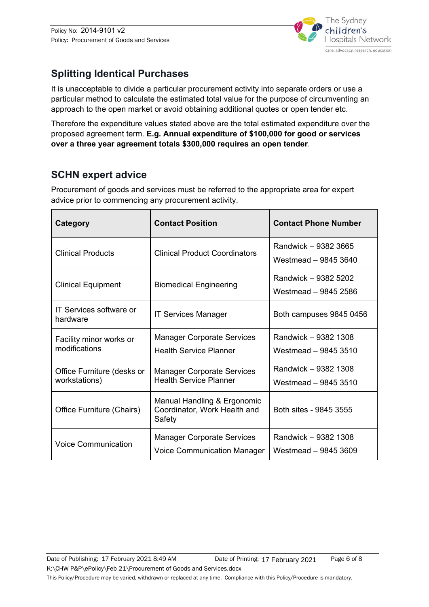

#### <span id="page-5-0"></span>**Splitting Identical Purchases**

It is unacceptable to divide a particular procurement activity into separate orders or use a particular method to calculate the estimated total value for the purpose of circumventing an approach to the open market or avoid obtaining additional quotes or open tender etc.

Therefore the expenditure values stated above are the total estimated expenditure over the proposed agreement term. **E.g. Annual expenditure of \$100,000 for good or services over a three year agreement totals \$300,000 requires an open tender**.

#### <span id="page-5-1"></span>**SCHN expert advice**

 $\blacksquare$ 

Procurement of goods and services must be referred to the appropriate area for expert advice prior to commencing any procurement activity.

| Category                                    | <b>Contact Position</b>                                                 | <b>Contact Phone Number</b>                  |
|---------------------------------------------|-------------------------------------------------------------------------|----------------------------------------------|
| <b>Clinical Products</b>                    | <b>Clinical Product Coordinators</b>                                    | Randwick - 9382 3665<br>Westmead - 9845 3640 |
| <b>Clinical Equipment</b>                   | <b>Biomedical Engineering</b>                                           | Randwick - 9382 5202<br>Westmead - 9845 2586 |
| <b>IT Services software or</b><br>hardware  | <b>IT Services Manager</b>                                              | Both campuses 9845 0456                      |
| Facility minor works or<br>modifications    | <b>Manager Corporate Services</b><br><b>Health Service Planner</b>      | Randwick - 9382 1308<br>Westmead - 9845 3510 |
| Office Furniture (desks or<br>workstations) | <b>Manager Corporate Services</b><br><b>Health Service Planner</b>      | Randwick - 9382 1308<br>Westmead - 9845 3510 |
| Office Furniture (Chairs)                   | Manual Handling & Ergonomic<br>Coordinator, Work Health and<br>Safety   | Both sites - 9845 3555                       |
| <b>Voice Communication</b>                  | <b>Manager Corporate Services</b><br><b>Voice Communication Manager</b> | Randwick - 9382 1308<br>Westmead - 9845 3609 |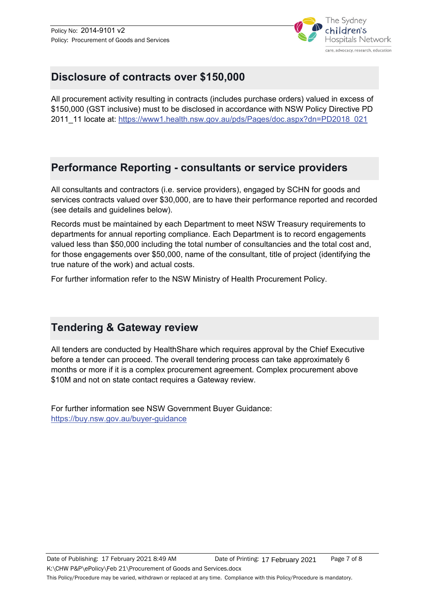

### <span id="page-6-0"></span>**Disclosure of contracts over \$150,000**

All procurement activity resulting in contracts (includes purchase orders) valued in excess of \$150,000 (GST inclusive) must to be disclosed in accordance with NSW Policy Directive PD 2011\_11 locate at: [https://www1.health.nsw.gov.au/pds/Pages/doc.aspx?dn=PD2018\\_021](https://www1.health.nsw.gov.au/pds/Pages/doc.aspx?dn=PD2018_021)

### <span id="page-6-1"></span>**Performance Reporting - consultants or service providers**

All consultants and contractors (i.e. service providers), engaged by SCHN for goods and services contracts valued over \$30,000, are to have their performance reported and recorded (see details and guidelines below).

Records must be maintained by each Department to meet NSW Treasury requirements to departments for annual reporting compliance. Each Department is to record engagements valued less than \$50,000 including the total number of consultancies and the total cost and, for those engagements over \$50,000, name of the consultant, title of project (identifying the true nature of the work) and actual costs.

For further information refer to the NSW Ministry of Health Procurement Policy.

### <span id="page-6-2"></span>**Tendering & Gateway review**

All tenders are conducted by HealthShare which requires approval by the Chief Executive before a tender can proceed. The overall tendering process can take approximately 6 months or more if it is a complex procurement agreement. Complex procurement above \$10M and not on state contact requires a Gateway review.

For further information see NSW Government Buyer Guidance: <https://buy.nsw.gov.au/buyer-guidance>